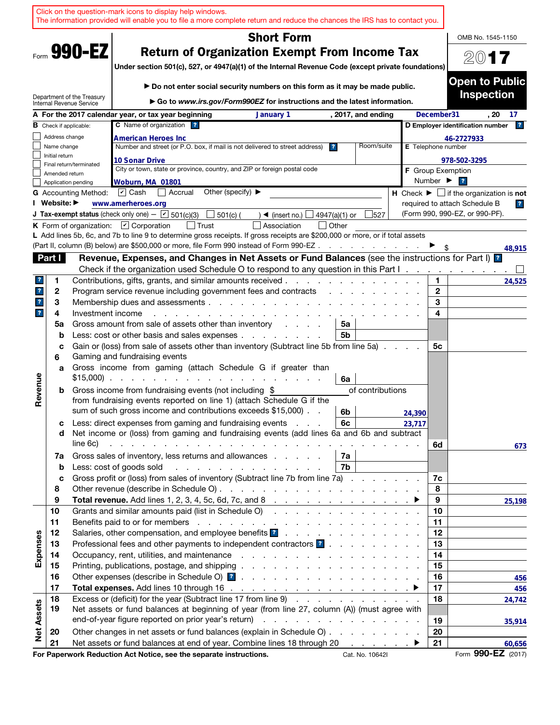|                         |                |                               | Click on the question-mark icons to display help windows.<br>The information provided will enable you to file a more complete return and reduce the chances the IRS has to contact you.                                                                                                                                     |        |                              |                                                                |
|-------------------------|----------------|-------------------------------|-----------------------------------------------------------------------------------------------------------------------------------------------------------------------------------------------------------------------------------------------------------------------------------------------------------------------------|--------|------------------------------|----------------------------------------------------------------|
|                         |                |                               | <b>Short Form</b>                                                                                                                                                                                                                                                                                                           |        |                              | OMB No. 1545-1150                                              |
|                         |                | Form 990-EZ                   | <b>Return of Organization Exempt From Income Tax</b><br>Under section 501(c), 527, or 4947(a)(1) of the Internal Revenue Code (except private foundations)                                                                                                                                                                  |        |                              | 2017                                                           |
|                         |                | Department of the Treasury    | Do not enter social security numbers on this form as it may be made public.                                                                                                                                                                                                                                                 |        |                              | <b>Open to Public</b><br><b>Inspection</b>                     |
|                         |                | Internal Revenue Service      | ► Go to www.irs.gov/Form990EZ for instructions and the latest information.                                                                                                                                                                                                                                                  |        |                              |                                                                |
|                         |                | <b>B</b> Check if applicable: | A For the 2017 calendar year, or tax year beginning<br>January 1<br>, 2017, and ending<br>C Name of organization ?                                                                                                                                                                                                          |        | December31                   | . 20<br>17<br>D Employer identification number<br>$\mathbf{r}$ |
|                         | Address change |                               | <b>American Heroes Inc</b>                                                                                                                                                                                                                                                                                                  |        |                              | 46-2727933                                                     |
|                         | Name change    |                               | Number and street (or P.O. box, if mail is not delivered to street address)<br>Room/suite<br>$\overline{\mathbf{r}}$                                                                                                                                                                                                        |        | E Telephone number           |                                                                |
|                         | Initial return |                               | 10 Sonar Drive                                                                                                                                                                                                                                                                                                              |        |                              | 978-502-3295                                                   |
|                         | Amended return | Final return/terminated       | City or town, state or province, country, and ZIP or foreign postal code                                                                                                                                                                                                                                                    |        | <b>F</b> Group Exemption     |                                                                |
|                         |                | Application pending           | Woburn, MA 01801                                                                                                                                                                                                                                                                                                            |        | Number $\blacktriangleright$ | $\overline{ }$                                                 |
|                         |                | <b>G</b> Accounting Method:   | Other (specify) $\blacktriangleright$<br>$\vert \mathbf{v} \vert$ Cash<br>  Accrual                                                                                                                                                                                                                                         |        |                              | H Check $\blacktriangleright \Box$ if the organization is not  |
|                         | I Website: ▶   |                               | www.amerheroes.org                                                                                                                                                                                                                                                                                                          |        |                              | required to attach Schedule B<br>$\overline{r}$                |
|                         |                |                               | <b>J Tax-exempt status</b> (check only one) - $\boxed{\text{C}}$ 501(c)(3)<br>501(c) (<br>4947(a)(1) or<br>527<br>$\blacktriangleleft$ (insert no.) $\lfloor$                                                                                                                                                               |        |                              | (Form 990, 990-EZ, or 990-PF).                                 |
|                         |                |                               | K Form of organization: $\boxed{V}$ Corporation<br>│ Trust<br>Association<br>l lOther                                                                                                                                                                                                                                       |        |                              |                                                                |
|                         |                |                               | L Add lines 5b, 6c, and 7b to line 9 to determine gross receipts. If gross receipts are \$200,000 or more, or if total assets                                                                                                                                                                                               |        |                              |                                                                |
|                         |                |                               | (Part II, column (B) below) are \$500,000 or more, file Form 990 instead of Form 990-EZ                                                                                                                                                                                                                                     |        |                              | 48,915                                                         |
|                         | Part I         |                               | Revenue, Expenses, and Changes in Net Assets or Fund Balances (see the instructions for Part I) <sup>2</sup>                                                                                                                                                                                                                |        |                              |                                                                |
| ?                       |                |                               | Check if the organization used Schedule O to respond to any question in this Part I.<br>Contributions, gifts, grants, and similar amounts received.                                                                                                                                                                         |        | 1.                           |                                                                |
| $\mathbf{r}$            | 1<br>2         |                               | Program service revenue including government fees and contracts                                                                                                                                                                                                                                                             |        | $\mathbf{2}$                 | 24,525                                                         |
| $\mathbf{?}$            | 3              |                               | Membership dues and assessments.<br>the contract of the contract of the contract of the contract of the contract of the contract of the contract of                                                                                                                                                                         |        | 3                            |                                                                |
| $\overline{\mathbf{r}}$ | 4              | Investment income             |                                                                                                                                                                                                                                                                                                                             |        | 4                            |                                                                |
|                         | 5a             |                               | Gross amount from sale of assets other than inventory<br>5a<br>and a state of                                                                                                                                                                                                                                               |        |                              |                                                                |
|                         | b              |                               | Less: cost or other basis and sales expenses<br>5b                                                                                                                                                                                                                                                                          |        |                              |                                                                |
|                         | c<br>6         |                               | Gain or (loss) from sale of assets other than inventory (Subtract line 5b from line 5a)<br>Gaming and fundraising events                                                                                                                                                                                                    |        | 5c                           |                                                                |
|                         | a              |                               | Gross income from gaming (attach Schedule G if greater than<br>$$15,000$<br>6a                                                                                                                                                                                                                                              |        |                              |                                                                |
| Revenue                 | b              |                               | Gross income from fundraising events (not including \$<br>of contributions<br>from fundraising events reported on line 1) (attach Schedule G if the<br>sum of such gross income and contributions exceeds \$15,000).                                                                                                        |        |                              |                                                                |
|                         |                |                               | 6b<br>Less: direct expenses from gaming and fundraising events<br>6с                                                                                                                                                                                                                                                        | 24,390 |                              |                                                                |
|                         | с<br>d         | line 6c)                      | Net income or (loss) from gaming and fundraising events (add lines 6a and 6b and subtract<br>and the property of the property of the contract of the property of the property of the contract of the contract of the contract of the contract of the contract of the contract of the contract of the contract of the contra | 23,717 | 6d                           | 673                                                            |
|                         | 7a             |                               | Gross sales of inventory, less returns and allowances<br>7a                                                                                                                                                                                                                                                                 |        |                              |                                                                |
|                         | $\mathbf b$    |                               | Less: cost of goods sold<br>7b                                                                                                                                                                                                                                                                                              |        |                              |                                                                |
|                         | c              |                               | Gross profit or (loss) from sales of inventory (Subtract line 7b from line 7a)                                                                                                                                                                                                                                              |        | 7c                           |                                                                |
|                         | 8              |                               |                                                                                                                                                                                                                                                                                                                             |        | 8                            |                                                                |
|                         | 9              |                               | Total revenue. Add lines 1, 2, 3, 4, 5c, 6d, 7c, and 8 $\ldots$ $\ldots$ $\ldots$ $\ldots$ $\ldots$ $\ldots$                                                                                                                                                                                                                |        | 9                            | 25,198                                                         |
|                         | 10             |                               | Grants and similar amounts paid (list in Schedule O)                                                                                                                                                                                                                                                                        |        | 10                           |                                                                |
|                         | 11             |                               |                                                                                                                                                                                                                                                                                                                             |        | 11                           |                                                                |
|                         | 12             |                               | Salaries, other compensation, and employee benefits <b>1</b>                                                                                                                                                                                                                                                                |        | 12                           |                                                                |
| Expenses                | 13             |                               | Professional fees and other payments to independent contractors ?                                                                                                                                                                                                                                                           |        | 13<br>14                     |                                                                |
|                         | 14<br>15       |                               |                                                                                                                                                                                                                                                                                                                             |        | 15                           |                                                                |
|                         | 16             |                               |                                                                                                                                                                                                                                                                                                                             |        | 16                           | 456                                                            |
|                         | 17             |                               |                                                                                                                                                                                                                                                                                                                             |        | 17                           | 456                                                            |
|                         | 18             |                               | Excess or (deficit) for the year (Subtract line 17 from line 9)                                                                                                                                                                                                                                                             |        | 18                           | 24,742                                                         |
| <b>Net Assets</b>       | 19             |                               | Net assets or fund balances at beginning of year (from line 27, column (A)) (must agree with                                                                                                                                                                                                                                |        |                              |                                                                |
|                         |                |                               |                                                                                                                                                                                                                                                                                                                             |        | 19                           | 35,914                                                         |
|                         | 20             |                               | Other changes in net assets or fund balances (explain in Schedule O)                                                                                                                                                                                                                                                        |        | 20                           |                                                                |
|                         | 21             |                               | Net assets or fund balances at end of year. Combine lines 18 through 20                                                                                                                                                                                                                                                     |        | 21                           | 60,656                                                         |
|                         |                |                               | For Paperwork Reduction Act Notice, see the separate instructions.<br>Cat. No. 10642I                                                                                                                                                                                                                                       |        |                              | Form 990-EZ (2017)                                             |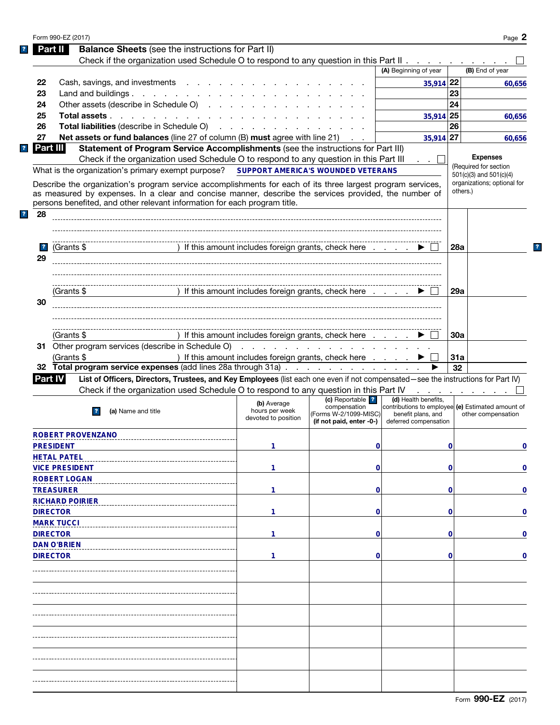|                         | Form 990-EZ (2017)                                                                                                                                                                                                            |                                                                                                                 |                                       |                                                                         |            | Page 2                                                     |
|-------------------------|-------------------------------------------------------------------------------------------------------------------------------------------------------------------------------------------------------------------------------|-----------------------------------------------------------------------------------------------------------------|---------------------------------------|-------------------------------------------------------------------------|------------|------------------------------------------------------------|
|                         | <b>Balance Sheets</b> (see the instructions for Part II)<br><b>Part II</b>                                                                                                                                                    |                                                                                                                 |                                       |                                                                         |            |                                                            |
|                         | Check if the organization used Schedule O to respond to any question in this Part II                                                                                                                                          |                                                                                                                 |                                       |                                                                         |            |                                                            |
|                         |                                                                                                                                                                                                                               |                                                                                                                 |                                       | (A) Beginning of year                                                   |            | (B) End of year                                            |
| 22                      | Cash, savings, and investments                                                                                                                                                                                                |                                                                                                                 |                                       | 35,914 22                                                               |            | 60,656                                                     |
| 23                      | Land and buildings.                                                                                                                                                                                                           |                                                                                                                 |                                       |                                                                         | 23         |                                                            |
|                         |                                                                                                                                                                                                                               |                                                                                                                 |                                       |                                                                         | 24         |                                                            |
| 24                      | Other assets (describe in Schedule O)                                                                                                                                                                                         |                                                                                                                 |                                       |                                                                         |            |                                                            |
| 25                      | Total assets                                                                                                                                                                                                                  |                                                                                                                 |                                       | 35,914 25                                                               |            | 60,656                                                     |
| 26                      | Total liabilities (describe in Schedule O) (enterprise on the contract of the contract of the contract of the contract of the contract of the contract of the contract of the contract of the contract of the contract of the |                                                                                                                 |                                       |                                                                         | 26         |                                                            |
| 27                      | <b>Net assets or fund balances</b> (line 27 of column (B) must agree with line 21)                                                                                                                                            |                                                                                                                 |                                       | 35,914 27                                                               |            | 60,656                                                     |
|                         | Part III<br>Statement of Program Service Accomplishments (see the instructions for Part III)                                                                                                                                  |                                                                                                                 |                                       |                                                                         |            |                                                            |
|                         | Check if the organization used Schedule O to respond to any question in this Part III                                                                                                                                         |                                                                                                                 |                                       | . . L                                                                   |            | <b>Expenses</b>                                            |
|                         | What is the organization's primary exempt purpose?                                                                                                                                                                            | SUPPORT AMERICA'S WOUNDED VETERANS                                                                              |                                       |                                                                         |            | (Required for section                                      |
|                         |                                                                                                                                                                                                                               |                                                                                                                 |                                       |                                                                         |            | $501(c)(3)$ and $501(c)(4)$<br>organizations; optional for |
|                         | Describe the organization's program service accomplishments for each of its three largest program services,                                                                                                                   |                                                                                                                 |                                       |                                                                         |            | others.)                                                   |
|                         | as measured by expenses. In a clear and concise manner, describe the services provided, the number of<br>persons benefited, and other relevant information for each program title.                                            |                                                                                                                 |                                       |                                                                         |            |                                                            |
|                         |                                                                                                                                                                                                                               |                                                                                                                 |                                       |                                                                         |            |                                                            |
| 28<br>?                 |                                                                                                                                                                                                                               |                                                                                                                 |                                       |                                                                         |            |                                                            |
|                         |                                                                                                                                                                                                                               |                                                                                                                 |                                       |                                                                         |            |                                                            |
|                         |                                                                                                                                                                                                                               |                                                                                                                 |                                       |                                                                         |            |                                                            |
| $\overline{\mathbf{r}}$ | (Grants \$                                                                                                                                                                                                                    | ) If this amount includes foreign grants, check here                                                            |                                       |                                                                         | 28a        |                                                            |
| 29                      |                                                                                                                                                                                                                               |                                                                                                                 |                                       |                                                                         |            |                                                            |
|                         |                                                                                                                                                                                                                               |                                                                                                                 |                                       |                                                                         |            |                                                            |
|                         |                                                                                                                                                                                                                               |                                                                                                                 |                                       |                                                                         |            |                                                            |
|                         |                                                                                                                                                                                                                               |                                                                                                                 |                                       |                                                                         |            |                                                            |
|                         | (Grants \$                                                                                                                                                                                                                    | ) If this amount includes foreign grants, check here                                                            |                                       |                                                                         | 29a        |                                                            |
| 30                      |                                                                                                                                                                                                                               |                                                                                                                 |                                       |                                                                         |            |                                                            |
|                         |                                                                                                                                                                                                                               |                                                                                                                 |                                       |                                                                         |            |                                                            |
|                         |                                                                                                                                                                                                                               |                                                                                                                 |                                       |                                                                         |            |                                                            |
|                         | (Grants \$                                                                                                                                                                                                                    | ) If this amount includes foreign grants, check here                                                            |                                       |                                                                         | <b>30a</b> |                                                            |
|                         |                                                                                                                                                                                                                               |                                                                                                                 |                                       |                                                                         |            |                                                            |
|                         | 31 Other program services (describe in Schedule O)                                                                                                                                                                            | the contract of the contract of the contract of the contract of the contract of the contract of the contract of |                                       |                                                                         |            |                                                            |
|                         | (Grants \$                                                                                                                                                                                                                    | ) If this amount includes foreign grants, check here                                                            |                                       |                                                                         | 31a        |                                                            |
|                         | 32 Total program service expenses (add lines 28a through 31a)                                                                                                                                                                 |                                                                                                                 |                                       |                                                                         | 32         |                                                            |
|                         | <b>Part IV</b><br>List of Officers, Directors, Trustees, and Key Employees (list each one even if not compensated-see the instructions for Part IV)                                                                           |                                                                                                                 |                                       |                                                                         |            |                                                            |
|                         | Check if the organization used Schedule O to respond to any question in this Part IV                                                                                                                                          |                                                                                                                 |                                       |                                                                         |            | the company of the company of                              |
|                         |                                                                                                                                                                                                                               | (b) Average                                                                                                     | (c) Reportable ?                      | (d) Health benefits.                                                    |            |                                                            |
|                         | (a) Name and title                                                                                                                                                                                                            | hours per week                                                                                                  | compensation<br>(Forms W-2/1099-MISC) | contributions to employee (e) Estimated amount of<br>benefit plans, and |            | other compensation                                         |
|                         |                                                                                                                                                                                                                               | devoted to position                                                                                             | (if not paid, enter -0-)              | deferred compensation                                                   |            |                                                            |
|                         |                                                                                                                                                                                                                               |                                                                                                                 |                                       |                                                                         |            |                                                            |
|                         | ROBERT PROVENZANO                                                                                                                                                                                                             |                                                                                                                 |                                       |                                                                         |            |                                                            |
|                         | <b>PRESIDENT</b>                                                                                                                                                                                                              | 1                                                                                                               | 0                                     |                                                                         | 0          | 0                                                          |
|                         | <b>HETAL PATEL</b>                                                                                                                                                                                                            |                                                                                                                 |                                       |                                                                         |            |                                                            |
|                         | <b>VICE PRESIDENT</b>                                                                                                                                                                                                         | 1                                                                                                               | $\mathbf 0$                           |                                                                         | 0          | $\mathbf 0$                                                |
|                         | <b>ROBERT LOGAN</b>                                                                                                                                                                                                           |                                                                                                                 |                                       |                                                                         |            |                                                            |
|                         | <b>TREASURER</b>                                                                                                                                                                                                              | 1                                                                                                               | $\mathbf 0$                           |                                                                         | 0          | $\mathbf 0$                                                |
|                         |                                                                                                                                                                                                                               |                                                                                                                 |                                       |                                                                         |            |                                                            |
|                         | <b>RICHARD POIRIER</b>                                                                                                                                                                                                        |                                                                                                                 |                                       |                                                                         |            |                                                            |
|                         | <b>DIRECTOR</b>                                                                                                                                                                                                               | 1                                                                                                               | $\mathbf 0$                           |                                                                         | 0          | $\mathbf 0$                                                |
|                         | <b>MARK TUCCI</b>                                                                                                                                                                                                             |                                                                                                                 |                                       |                                                                         |            |                                                            |
|                         | <b>DIRECTOR</b>                                                                                                                                                                                                               | 1                                                                                                               | $\mathbf 0$                           |                                                                         | 0          | $\mathbf 0$                                                |
|                         | <b>DAN O'BRIEN</b>                                                                                                                                                                                                            |                                                                                                                 |                                       |                                                                         |            |                                                            |
|                         | <b>DIRECTOR</b>                                                                                                                                                                                                               | 1                                                                                                               | 0                                     |                                                                         | 0          | 0                                                          |
|                         |                                                                                                                                                                                                                               |                                                                                                                 |                                       |                                                                         |            |                                                            |
|                         |                                                                                                                                                                                                                               |                                                                                                                 |                                       |                                                                         |            |                                                            |
|                         |                                                                                                                                                                                                                               |                                                                                                                 |                                       |                                                                         |            |                                                            |
|                         |                                                                                                                                                                                                                               |                                                                                                                 |                                       |                                                                         |            |                                                            |
|                         |                                                                                                                                                                                                                               |                                                                                                                 |                                       |                                                                         |            |                                                            |
|                         |                                                                                                                                                                                                                               |                                                                                                                 |                                       |                                                                         |            |                                                            |
|                         |                                                                                                                                                                                                                               |                                                                                                                 |                                       |                                                                         |            |                                                            |
|                         |                                                                                                                                                                                                                               |                                                                                                                 |                                       |                                                                         |            |                                                            |
|                         |                                                                                                                                                                                                                               |                                                                                                                 |                                       |                                                                         |            |                                                            |
|                         |                                                                                                                                                                                                                               |                                                                                                                 |                                       |                                                                         |            |                                                            |
|                         |                                                                                                                                                                                                                               |                                                                                                                 |                                       |                                                                         |            |                                                            |
|                         |                                                                                                                                                                                                                               |                                                                                                                 |                                       |                                                                         |            |                                                            |
|                         |                                                                                                                                                                                                                               |                                                                                                                 |                                       |                                                                         |            |                                                            |
|                         |                                                                                                                                                                                                                               |                                                                                                                 |                                       |                                                                         |            |                                                            |
|                         |                                                                                                                                                                                                                               |                                                                                                                 |                                       |                                                                         |            |                                                            |

 $\mathbf{?}$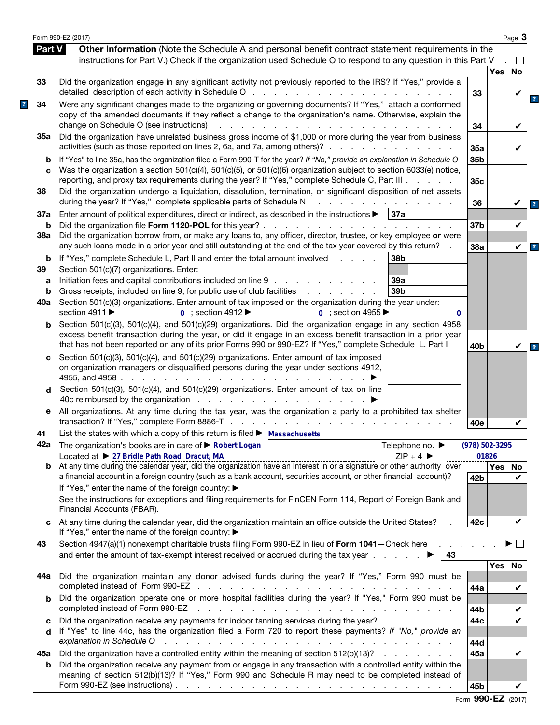|               | Form 990-EZ (2017)                                                                                                                                                                                                                                                                                                                                                      |                        |            | Page 3   |
|---------------|-------------------------------------------------------------------------------------------------------------------------------------------------------------------------------------------------------------------------------------------------------------------------------------------------------------------------------------------------------------------------|------------------------|------------|----------|
| <b>Part V</b> | Other Information (Note the Schedule A and personal benefit contract statement requirements in the                                                                                                                                                                                                                                                                      |                        |            |          |
|               | instructions for Part V.) Check if the organization used Schedule O to respond to any question in this Part V                                                                                                                                                                                                                                                           |                        |            |          |
|               |                                                                                                                                                                                                                                                                                                                                                                         |                        | Yes        | No       |
| 33            | Did the organization engage in any significant activity not previously reported to the IRS? If "Yes," provide a<br>detailed description of each activity in Schedule O                                                                                                                                                                                                  | 33                     |            |          |
| 34            | Were any significant changes made to the organizing or governing documents? If "Yes," attach a conformed<br>copy of the amended documents if they reflect a change to the organization's name. Otherwise, explain the<br>change on Schedule O (see instructions)<br>$\mathcal{L}^{\mathcal{L}}$<br>and a state of the state                                             | 34                     |            |          |
| 35а           | Did the organization have unrelated business gross income of \$1,000 or more during the year from business                                                                                                                                                                                                                                                              |                        |            |          |
| b             | activities (such as those reported on lines 2, 6a, and 7a, among others)?<br>If "Yes" to line 35a, has the organization filed a Form 990-T for the year? If "No," provide an explanation in Schedule O                                                                                                                                                                  | 35a<br>35 <sub>b</sub> |            |          |
| C             | Was the organization a section 501(c)(4), 501(c)(5), or 501(c)(6) organization subject to section 6033(e) notice,<br>reporting, and proxy tax requirements during the year? If "Yes," complete Schedule C, Part III                                                                                                                                                     | 35c                    |            |          |
| 36            | Did the organization undergo a liquidation, dissolution, termination, or significant disposition of net assets<br>during the year? If "Yes," complete applicable parts of Schedule N                                                                                                                                                                                    | 36                     |            |          |
| 37a           | Enter amount of political expenditures, direct or indirect, as described in the instructions $\blacktriangleright$   37a                                                                                                                                                                                                                                                |                        |            |          |
| b<br>38a      | Did the organization file Form 1120-POL for this year?.<br>and the contract of the contract of the contract of<br>Did the organization borrow from, or make any loans to, any officer, director, trustee, or key employee or were                                                                                                                                       | 37b                    |            | V        |
|               | any such loans made in a prior year and still outstanding at the end of the tax year covered by this return?                                                                                                                                                                                                                                                            | 38a                    |            | V        |
| b<br>39       | If "Yes," complete Schedule L, Part II and enter the total amount involved<br>38b<br>and the contract of<br>Section 501(c)(7) organizations. Enter:                                                                                                                                                                                                                     |                        |            |          |
| а             | Initiation fees and capital contributions included on line 9<br>39a                                                                                                                                                                                                                                                                                                     |                        |            |          |
| b             | Gross receipts, included on line 9, for public use of club facilities<br>39b<br>and a strategic control of the state of                                                                                                                                                                                                                                                 |                        |            |          |
| 40a           | Section 501(c)(3) organizations. Enter amount of tax imposed on the organization during the year under:                                                                                                                                                                                                                                                                 |                        |            |          |
|               | section 4911 $\blacktriangleright$<br>$\overline{0}$ ; section 4912<br>$\overline{0}$ : section 4955<br>0                                                                                                                                                                                                                                                               |                        |            |          |
| b             | Section 501(c)(3), 501(c)(4), and 501(c)(29) organizations. Did the organization engage in any section 4958<br>excess benefit transaction during the year, or did it engage in an excess benefit transaction in a prior year<br>that has not been reported on any of its prior Forms 990 or 990-EZ? If "Yes," complete Schedule L, Part I                               | 40 <sub>b</sub>        |            |          |
| c             | Section 501(c)(3), 501(c)(4), and 501(c)(29) organizations. Enter amount of tax imposed<br>on organization managers or disqualified persons during the year under sections 4912,<br>4955, and 4958.<br>the contract of the contract of the<br>Section 501(c)(3), 501(c)(4), and 501(c)(29) organizations. Enter amount of tax on line                                   |                        |            |          |
| d             | 40c reimbursed by the organization                                                                                                                                                                                                                                                                                                                                      |                        |            |          |
| е             | All organizations. At any time during the tax year, was the organization a party to a prohibited tax shelter                                                                                                                                                                                                                                                            | 40e                    |            |          |
| 41            | List the states with which a copy of this return is filed $\blacktriangleright$ Massachusetts                                                                                                                                                                                                                                                                           |                        |            |          |
|               | 42a The organization's books are in care of > Robert Logan<br>Telephone no. $\blacktriangleright$                                                                                                                                                                                                                                                                       | $(978) 502 - 3295$     |            |          |
|               | Located at ▶ 27 Bridle Path Road Dracut, MA<br>$ZIP + 4$<br>Located at $\triangleright$ 21 Bridle Path Road Dracut, MA express contract the contract contract the surface and the calendar year, did the organization have an interest in or a signature or other authority over                                                                                        |                        | 01826      |          |
| b             | a financial account in a foreign country (such as a bank account, securities account, or other financial account)?<br>If "Yes," enter the name of the foreign country: ▶                                                                                                                                                                                                | 42 <sub>b</sub>        | Yes        | No.<br>✓ |
|               | See the instructions for exceptions and filing requirements for FinCEN Form 114, Report of Foreign Bank and<br>Financial Accounts (FBAR).                                                                                                                                                                                                                               |                        |            |          |
| C             | At any time during the calendar year, did the organization maintain an office outside the United States?<br>If "Yes," enter the name of the foreign country: ▶                                                                                                                                                                                                          | 42c                    |            |          |
| 43            | Section 4947(a)(1) nonexempt charitable trusts filing Form 990-EZ in lieu of Form 1041-Check here<br>and enter the amount of tax-exempt interest received or accrued during the tax year $\ldots$ .<br>43                                                                                                                                                               |                        |            |          |
|               |                                                                                                                                                                                                                                                                                                                                                                         |                        | <b>Yes</b> | No       |
| 44а           | Did the organization maintain any donor advised funds during the year? If "Yes," Form 990 must be                                                                                                                                                                                                                                                                       | 44a                    |            | V        |
| b             | Did the organization operate one or more hospital facilities during the year? If "Yes," Form 990 must be<br>completed instead of Form 990-EZ<br>the contract of the contract of the contract of the contract of the contract of the contract of                                                                                                                         |                        |            |          |
| с             | Did the organization receive any payments for indoor tanning services during the year?                                                                                                                                                                                                                                                                                  | 44b<br>44c             |            |          |
| d             | If "Yes" to line 44c, has the organization filed a Form 720 to report these payments? If "No," provide an<br>explanation in Schedule O<br>and a construction of the construction of the construction of the construction of the construction of the construction of the construction of the construction of the construction of the construction of the construction of |                        |            |          |
|               |                                                                                                                                                                                                                                                                                                                                                                         | 44d                    |            | ✓        |
| 45а<br>b      | Did the organization have a controlled entity within the meaning of section 512(b)(13)?<br>Did the organization receive any payment from or engage in any transaction with a controlled entity within the                                                                                                                                                               | 45a                    |            |          |
|               | meaning of section 512(b)(13)? If "Yes," Form 990 and Schedule R may need to be completed instead of<br>Form 990-EZ (see instructions) $\ldots$ $\ldots$ $\ldots$ $\ldots$ $\ldots$ $\ldots$ $\ldots$ $\ldots$ $\ldots$ $\ldots$ $\ldots$                                                                                                                               | 45b                    |            | V        |

|  | Form 990-EZ (2017) |  |
|--|--------------------|--|
|--|--------------------|--|